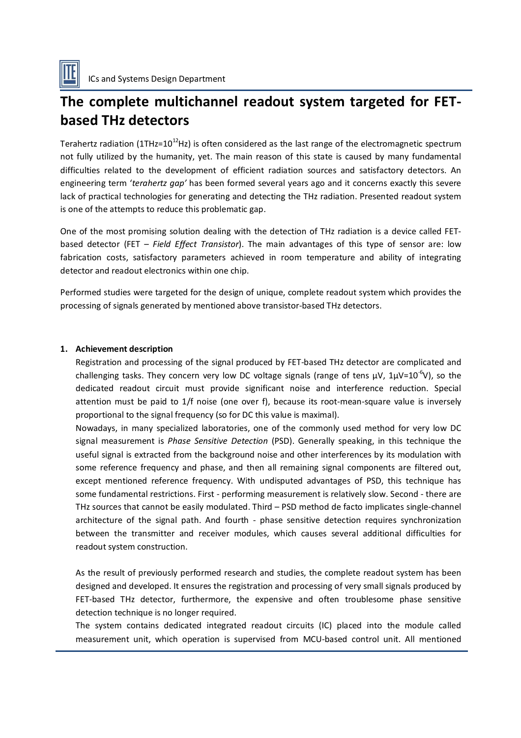

# **The complete multichannel readout system targeted for FETbased THz detectors**

Terahertz radiation (1THz=10<sup>12</sup>Hz) is often considered as the last range of the electromagnetic spectrum not fully utilized by the humanity, yet. The main reason of this state is caused by many fundamental difficulties related to the development of efficient radiation sources and satisfactory detectors. An engineering term '*terahertz gap'* has been formed several years ago and it concerns exactly this severe lack of practical technologies for generating and detecting the THz radiation. Presented readout system is one of the attempts to reduce this problematic gap.

One of the most promising solution dealing with the detection of THz radiation is a device called FETbased detector (FET – *Field Effect Transistor*). The main advantages of this type of sensor are: low fabrication costs, satisfactory parameters achieved in room temperature and ability of integrating detector and readout electronics within one chip.

Performed studies were targeted for the design of unique, complete readout system which provides the processing of signals generated by mentioned above transistor-based THz detectors.

#### **1. Achievement description**

Registration and processing of the signal produced by FET-based THz detector are complicated and challenging tasks. They concern very low DC voltage signals (range of tens  $\mu$ V, 1 $\mu$ V=10<sup>-6</sup>V), so the dedicated readout circuit must provide significant noise and interference reduction. Special attention must be paid to 1/f noise (one over f), because its root-mean-square value is inversely proportional to the signal frequency (so for DC this value is maximal).

Nowadays, in many specialized laboratories, one of the commonly used method for very low DC signal measurement is *Phase Sensitive Detection* (PSD). Generally speaking, in this technique the useful signal is extracted from the background noise and other interferences by its modulation with some reference frequency and phase, and then all remaining signal components are filtered out, except mentioned reference frequency. With undisputed advantages of PSD, this technique has some fundamental restrictions. First - performing measurement is relatively slow. Second - there are THz sources that cannot be easily modulated. Third – PSD method de facto implicates single-channel architecture of the signal path. And fourth - phase sensitive detection requires synchronization between the transmitter and receiver modules, which causes several additional difficulties for readout system construction.

As the result of previously performed research and studies, the complete readout system has been designed and developed. It ensures the registration and processing of very small signals produced by FET-based THz detector, furthermore, the expensive and often troublesome phase sensitive detection technique is no longer required.

The system contains dedicated integrated readout circuits (IC) placed into the module called measurement unit, which operation is supervised from MCU-based control unit. All mentioned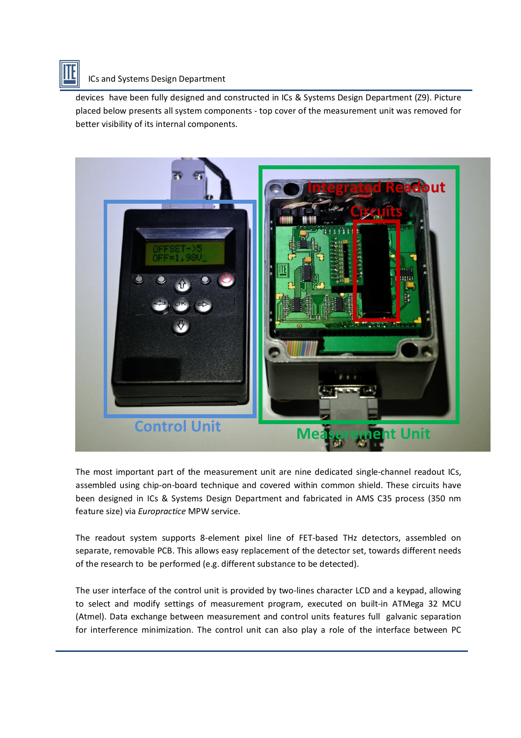

# ICs and Systems Design Department

devices have been fully designed and constructed in ICs & Systems Design Department (Z9). Picture placed below presents all system components - top cover of the measurement unit was removed for better visibility of its internal components.



The most important part of the measurement unit are nine dedicated single-channel readout ICs, assembled using chip-on-board technique and covered within common shield. These circuits have been designed in ICs & Systems Design Department and fabricated in AMS C35 process (350 nm feature size) via *Europractice* MPW service.

The readout system supports 8-element pixel line of FET-based THz detectors, assembled on separate, removable PCB. This allows easy replacement of the detector set, towards different needs of the research to be performed (e.g. different substance to be detected).

The user interface of the control unit is provided by two-lines character LCD and a keypad, allowing to select and modify settings of measurement program, executed on built-in ATMega 32 MCU (Atmel). Data exchange between measurement and control units features full galvanic separation for interference minimization. The control unit can also play a role of the interface between PC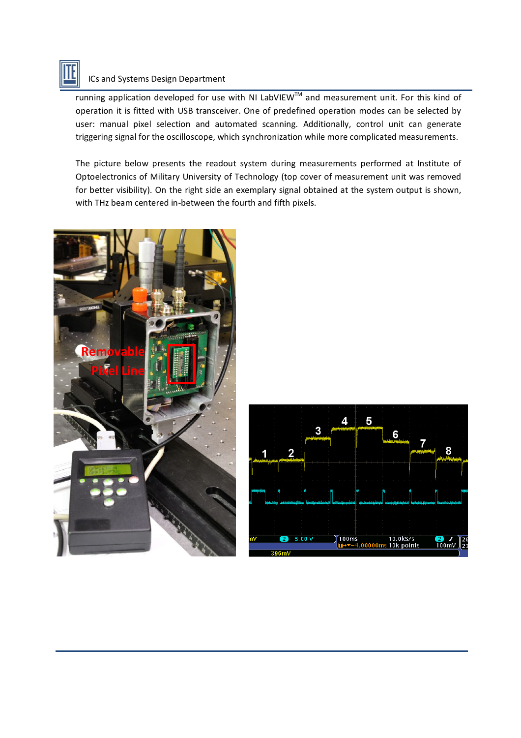# ICs and Systems Design Department

running application developed for use with NI LabVIEW™ and measurement unit. For this kind of operation it is fitted with USB transceiver. One of predefined operation modes can be selected by user: manual pixel selection and automated scanning. Additionally, control unit can generate triggering signal for the oscilloscope, which synchronization while more complicated measurements.

The picture below presents the readout system during measurements performed at Institute of Optoelectronics of Military University of Technology (top cover of measurement unit was removed for better visibility). On the right side an exemplary signal obtained at the system output is shown, with THz beam centered in-between the fourth and fifth pixels.